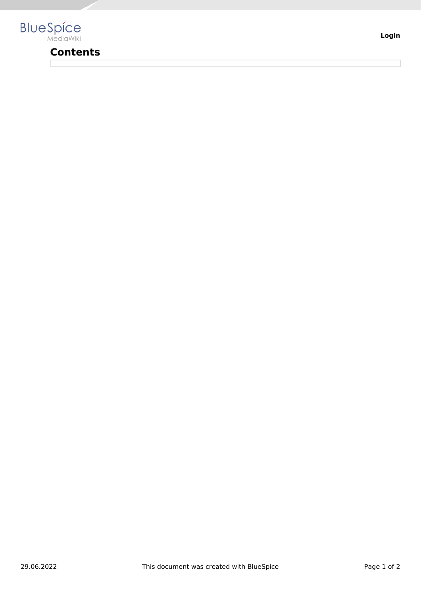

## **Contents**